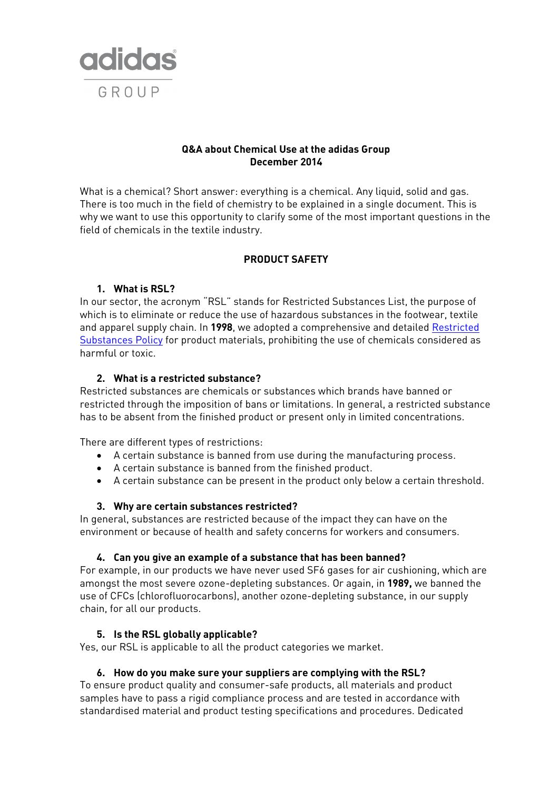

### **Q&A about Chemical Use at the adidas Group December 2014**

What is a chemical? Short answer: everything is a chemical. Any liquid, solid and gas. There is too much in the field of chemistry to be explained in a single document. This is why we want to use this opportunity to clarify some of the most important questions in the field of chemicals in the textile industry.

# **PRODUCT SAFETY**

# **1. What is RSL?**

In our sector, the acronym "RSL" stands for Restricted Substances List, the purpose of which is to eliminate or reduce the use of hazardous substances in the footwear, textile and apparel supply chain. In **1998**, we adopted a comprehensive and detailed [Restricted](http://www.adidas-group.com/media/filer_public/98/cf/98cf05b1-52f4-44a9-b96a-cfbf83dbc7c8/a-01_sept_2014_handout.pdf)  [Substances Policy](http://www.adidas-group.com/media/filer_public/98/cf/98cf05b1-52f4-44a9-b96a-cfbf83dbc7c8/a-01_sept_2014_handout.pdf) for product materials, prohibiting the use of chemicals considered as harmful or toxic.

### **2. What is a restricted substance?**

Restricted substances are chemicals or substances which brands have banned or restricted through the imposition of bans or limitations. In general, a restricted substance has to be absent from the finished product or present only in limited concentrations.

There are different types of restrictions:

- A certain substance is banned from use during the manufacturing process.
- A certain substance is banned from the finished product.
- A certain substance can be present in the product only below a certain threshold.

# **3. Why are certain substances restricted?**

In general, substances are restricted because of the impact they can have on the environment or because of health and safety concerns for workers and consumers.

### **4. Can you give an example of a substance that has been banned?**

For example, in our products we have never used SF6 gases for air cushioning, which are amongst the most severe ozone-depleting substances. Or again, in **1989,** we banned the use of CFCs (chlorofluorocarbons), another ozone-depleting substance, in our supply chain, for all our products.

### **5. Is the RSL globally applicable?**

Yes, our RSL is applicable to all the product categories we market.

### **6. How do you make sure your suppliers are complying with the RSL?**

To ensure product quality and consumer-safe products, all materials and product samples have to pass a rigid compliance process and are tested in accordance with standardised material and product testing specifications and procedures. Dedicated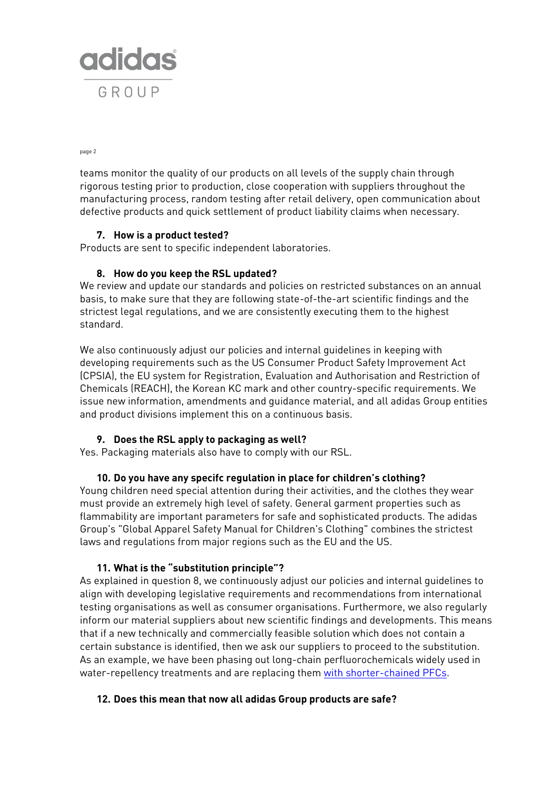

page 2

teams monitor the quality of our products on all levels of the supply chain through rigorous testing prior to production, close cooperation with suppliers throughout the manufacturing process, random testing after retail delivery, open communication about defective products and quick settlement of product liability claims when necessary.

### **7. How is a product tested?**

Products are sent to specific independent laboratories.

# **8. How do you keep the RSL updated?**

We review and update our standards and policies on restricted substances on an annual basis, to make sure that they are following state-of-the-art scientific findings and the strictest legal regulations, and we are consistently executing them to the highest standard.

We also continuously adjust our policies and internal guidelines in keeping with developing requirements such as the US Consumer Product Safety Improvement Act (CPSIA), the EU system for Registration, Evaluation and Authorisation and Restriction of Chemicals (REACH), the Korean KC mark and other country-specific requirements. We issue new information, amendments and guidance material, and all adidas Group entities and product divisions implement this on a continuous basis.

# **9. Does the RSL apply to packaging as well?**

Yes. Packaging materials also have to comply with our RSL.

# **10. Do you have any specifc regulation in place for children's clothing?**

Young children need special attention during their activities, and the clothes they wear must provide an extremely high level of safety. General garment properties such as flammability are important parameters for safe and sophisticated products. The adidas Group's "Global Apparel Safety Manual for Children's Clothing" combines the strictest laws and regulations from major regions such as the EU and the US.

# **11. What is the "substitution principle"?**

As explained in question 8, we continuously adjust our policies and internal guidelines to align with developing legislative requirements and recommendations from international testing organisations as well as consumer organisations. Furthermore, we also regularly inform our material suppliers about new scientific findings and developments. This means that if a new technically and commercially feasible solution which does not contain a certain substance is identified, then we ask our suppliers to proceed to the substitution. As an example, we have been phasing out long-chain perfluorochemicals widely used in water-repellency treatments and are replacing them [with shorter-chained PFCs.](http://blog.adidas-group.com/2014/11/a-journey-towards-the-phase-out-of-pfc/)

# **12. Does this mean that now all adidas Group products are safe?**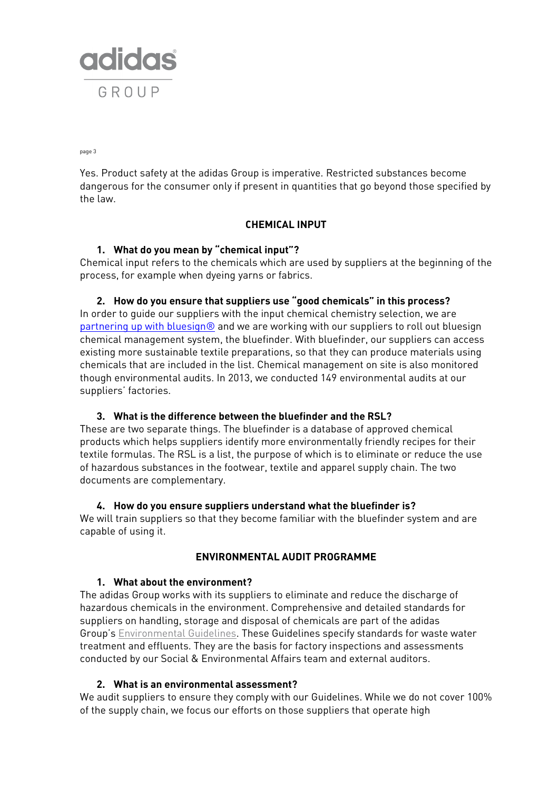

page 3

Yes. Product safety at the adidas Group is imperative. Restricted substances become dangerous for the consumer only if present in quantities that go beyond those specified by the law.

### **CHEMICAL INPUT**

### **1. What do you mean by "chemical input"?**

Chemical input refers to the chemicals which are used by suppliers at the beginning of the process, for example when dyeing yarns or fabrics.

**2. How do you ensure that suppliers use "good chemicals" in this process?** In order to guide our suppliers with the input chemical chemistry selection, we are [partnering up with bluesign®](http://www.adidas-group.com/en/group/stories/a-partnership-with-good-chemistry/) and we are working with our suppliers to roll out bluesign chemical management system, the bluefinder. With bluefinder, our suppliers can access existing more sustainable textile preparations, so that they can produce materials using chemicals that are included in the list. Chemical management on site is also monitored though environmental audits. In 2013, we conducted 149 environmental audits at our suppliers' factories.

### **3. What is the difference between the bluefinder and the RSL?**

These are two separate things. The bluefinder is a database of approved chemical products which helps suppliers identify more environmentally friendly recipes for their textile formulas. The RSL is a list, the purpose of which is to eliminate or reduce the use of hazardous substances in the footwear, textile and apparel supply chain. The two documents are complementary.

### **4. How do you ensure suppliers understand what the bluefinder is?**

We will train suppliers so that they become familiar with the bluefinder system and are capable of using it.

# **ENVIRONMENTAL AUDIT PROGRAMME**

### **1. What about the environment?**

The adidas Group works with its suppliers to eliminate and reduce the discharge of hazardous chemicals in the environment. Comprehensive and detailed standards for suppliers on handling, storage and disposal of chemicals are part of the adidas Group's [Environmental](http://www.adidas-group.com/en/sustainability/supply-chain/standards-and-policies/) Guidelines. These Guidelines specify standards for waste water treatment and effluents. They are the basis for factory inspections and assessments conducted by our Social & Environmental Affairs team and external auditors.

### **2. What is an environmental assessment?**

We audit suppliers to ensure they comply with our Guidelines. While we do not cover 100% of the supply chain, we focus our efforts on those suppliers that operate high